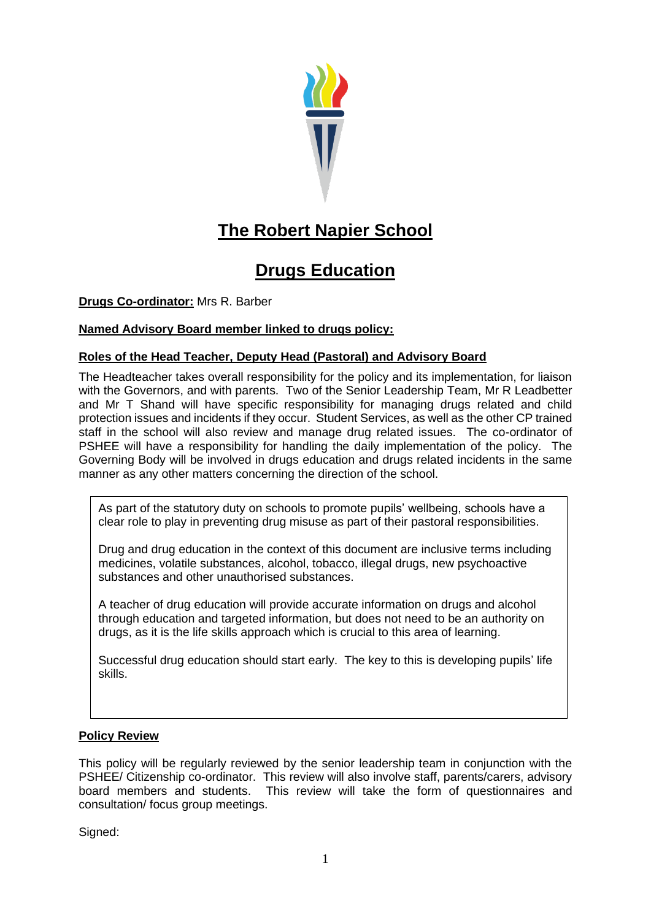

# **The Robert Napier School**

# **Drugs Education**

**Drugs Co-ordinator:** Mrs R. Barber

# **Named Advisory Board member linked to drugs policy:**

# **Roles of the Head Teacher, Deputy Head (Pastoral) and Advisory Board**

The Headteacher takes overall responsibility for the policy and its implementation, for liaison with the Governors, and with parents. Two of the Senior Leadership Team, Mr R Leadbetter and Mr T Shand will have specific responsibility for managing drugs related and child protection issues and incidents if they occur. Student Services, as well as the other CP trained staff in the school will also review and manage drug related issues. The co-ordinator of PSHEE will have a responsibility for handling the daily implementation of the policy. The Governing Body will be involved in drugs education and drugs related incidents in the same manner as any other matters concerning the direction of the school.

clear role to play in preventing drug misuse as part of their pastoral responsibilities. As part of the statutory duty on schools to promote pupils' wellbeing, schools have a

Drug and drug education in the context of this document are inclusive terms including Drug and drug cubstances and other units document are inclusive terms including<br>medicines, volatile substances, alcohol, tobacco, illegal drugs, new psychoactive substances and other unauthorised substances.

A teacher of drug education will provide accurate information on drugs and alcohol through education and targeted information, but does not need to be an authority on drugs, as it is the life skills approach which is crucial to this area of learning.

Successful drug education should start early. The key to this is developing pupils' life skills.

# **Policy Review**

This policy will be regularly reviewed by the senior leadership team in conjunction with the PSHEE/ Citizenship co-ordinator. This review will also involve staff, parents/carers, advisory board members and students. This review will take the form of questionnaires and consultation/ focus group meetings.

Signed: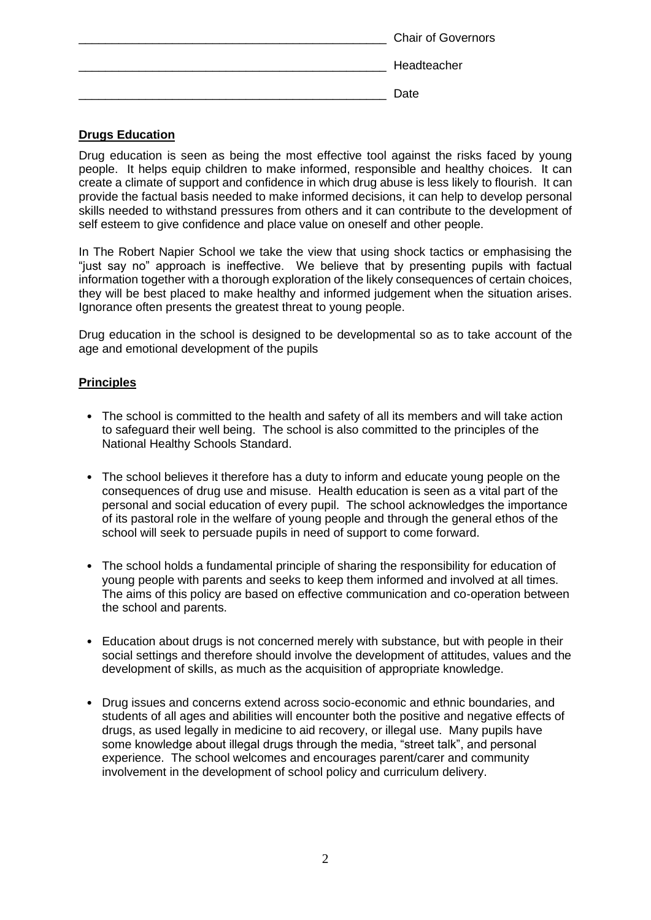| <b>Chair of Governors</b> |
|---------------------------|
| Headteacher               |
| Date                      |

# **Drugs Education**

Drug education is seen as being the most effective tool against the risks faced by young people. It helps equip children to make informed, responsible and healthy choices. It can create a climate of support and confidence in which drug abuse is less likely to flourish. It can provide the factual basis needed to make informed decisions, it can help to develop personal skills needed to withstand pressures from others and it can contribute to the development of self esteem to give confidence and place value on oneself and other people.

In The Robert Napier School we take the view that using shock tactics or emphasising the "just say no" approach is ineffective. We believe that by presenting pupils with factual information together with a thorough exploration of the likely consequences of certain choices, they will be best placed to make healthy and informed judgement when the situation arises. Ignorance often presents the greatest threat to young people.

Drug education in the school is designed to be developmental so as to take account of the age and emotional development of the pupils

## **Principles**

- The school is committed to the health and safety of all its members and will take action to safeguard their well being. The school is also committed to the principles of the National Healthy Schools Standard.
- The school believes it therefore has a duty to inform and educate young people on the consequences of drug use and misuse. Health education is seen as a vital part of the personal and social education of every pupil. The school acknowledges the importance of its pastoral role in the welfare of young people and through the general ethos of the school will seek to persuade pupils in need of support to come forward.
- The school holds a fundamental principle of sharing the responsibility for education of young people with parents and seeks to keep them informed and involved at all times. The aims of this policy are based on effective communication and co-operation between the school and parents.
- Education about drugs is not concerned merely with substance, but with people in their social settings and therefore should involve the development of attitudes, values and the development of skills, as much as the acquisition of appropriate knowledge.
- Drug issues and concerns extend across socio-economic and ethnic boundaries, and students of all ages and abilities will encounter both the positive and negative effects of drugs, as used legally in medicine to aid recovery, or illegal use. Many pupils have some knowledge about illegal drugs through the media, "street talk", and personal experience. The school welcomes and encourages parent/carer and community involvement in the development of school policy and curriculum delivery.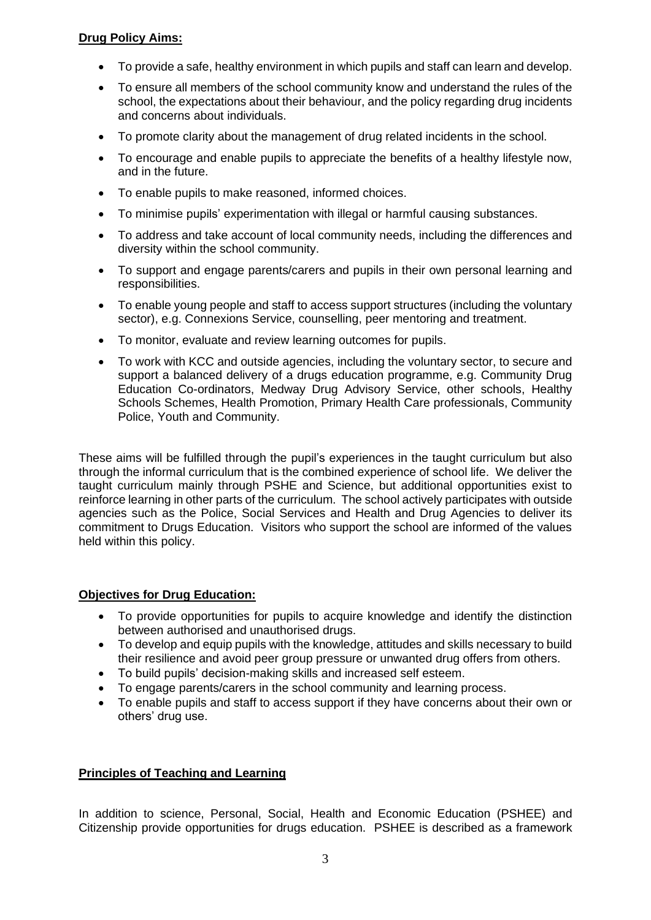## **Drug Policy Aims:**

- To provide a safe, healthy environment in which pupils and staff can learn and develop.
- To ensure all members of the school community know and understand the rules of the school, the expectations about their behaviour, and the policy regarding drug incidents and concerns about individuals.
- To promote clarity about the management of drug related incidents in the school.
- To encourage and enable pupils to appreciate the benefits of a healthy lifestyle now, and in the future.
- To enable pupils to make reasoned, informed choices.
- To minimise pupils' experimentation with illegal or harmful causing substances.
- To address and take account of local community needs, including the differences and diversity within the school community.
- To support and engage parents/carers and pupils in their own personal learning and responsibilities.
- To enable young people and staff to access support structures (including the voluntary sector), e.g. Connexions Service, counselling, peer mentoring and treatment.
- To monitor, evaluate and review learning outcomes for pupils.
- To work with KCC and outside agencies, including the voluntary sector, to secure and support a balanced delivery of a drugs education programme, e.g. Community Drug Education Co-ordinators, Medway Drug Advisory Service, other schools, Healthy Schools Schemes, Health Promotion, Primary Health Care professionals, Community Police, Youth and Community.

These aims will be fulfilled through the pupil's experiences in the taught curriculum but also through the informal curriculum that is the combined experience of school life. We deliver the taught curriculum mainly through PSHE and Science, but additional opportunities exist to reinforce learning in other parts of the curriculum. The school actively participates with outside agencies such as the Police, Social Services and Health and Drug Agencies to deliver its commitment to Drugs Education. Visitors who support the school are informed of the values held within this policy.

## **Objectives for Drug Education:**

- To provide opportunities for pupils to acquire knowledge and identify the distinction between authorised and unauthorised drugs.
- To develop and equip pupils with the knowledge, attitudes and skills necessary to build their resilience and avoid peer group pressure or unwanted drug offers from others.
- To build pupils' decision-making skills and increased self esteem.
- To engage parents/carers in the school community and learning process.
- To enable pupils and staff to access support if they have concerns about their own or others' drug use.

## **Principles of Teaching and Learning**

In addition to science, Personal, Social, Health and Economic Education (PSHEE) and Citizenship provide opportunities for drugs education. PSHEE is described as a framework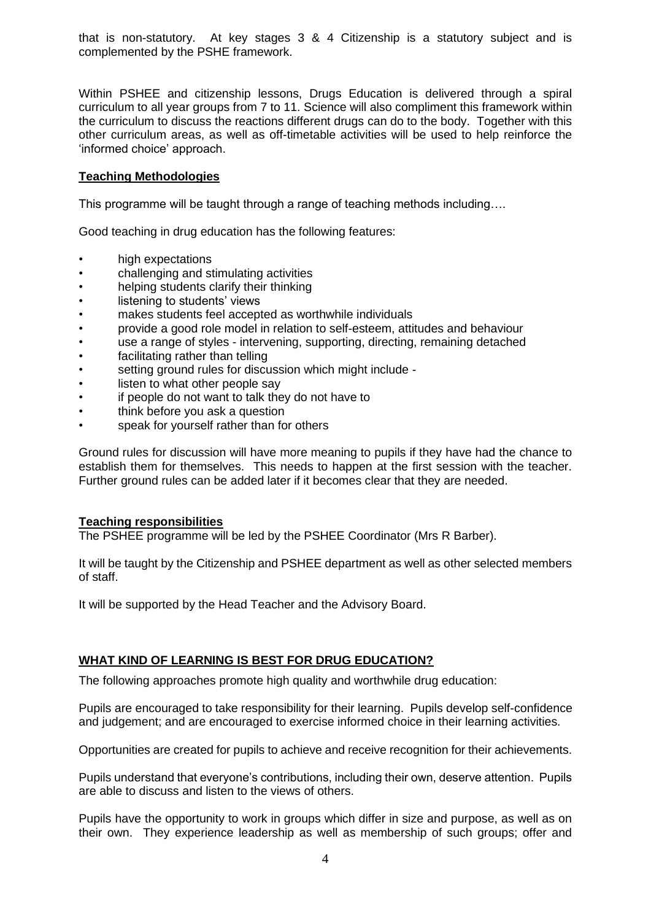that is non-statutory. At key stages 3 & 4 Citizenship is a statutory subject and is complemented by the PSHE framework.

Within PSHEE and citizenship lessons, Drugs Education is delivered through a spiral curriculum to all year groups from 7 to 11. Science will also compliment this framework within the curriculum to discuss the reactions different drugs can do to the body. Together with this other curriculum areas, as well as off-timetable activities will be used to help reinforce the 'informed choice' approach.

## **Teaching Methodologies**

This programme will be taught through a range of teaching methods including….

Good teaching in drug education has the following features:

- high expectations
- challenging and stimulating activities
- helping students clarify their thinking
- listening to students' views
- makes students feel accepted as worthwhile individuals
- provide a good role model in relation to self-esteem, attitudes and behaviour
- use a range of styles intervening, supporting, directing, remaining detached
- facilitating rather than telling
- setting ground rules for discussion which might include -
- listen to what other people say
- if people do not want to talk they do not have to
- think before you ask a question
- speak for yourself rather than for others

Ground rules for discussion will have more meaning to pupils if they have had the chance to establish them for themselves. This needs to happen at the first session with the teacher. Further ground rules can be added later if it becomes clear that they are needed.

#### **Teaching responsibilities**

The PSHEE programme will be led by the PSHEE Coordinator (Mrs R Barber).

It will be taught by the Citizenship and PSHEE department as well as other selected members of staff.

It will be supported by the Head Teacher and the Advisory Board.

#### **WHAT KIND OF LEARNING IS BEST FOR DRUG EDUCATION?**

The following approaches promote high quality and worthwhile drug education:

Pupils are encouraged to take responsibility for their learning. Pupils develop self-confidence and judgement; and are encouraged to exercise informed choice in their learning activities.

Opportunities are created for pupils to achieve and receive recognition for their achievements.

Pupils understand that everyone's contributions, including their own, deserve attention. Pupils are able to discuss and listen to the views of others.

Pupils have the opportunity to work in groups which differ in size and purpose, as well as on their own. They experience leadership as well as membership of such groups; offer and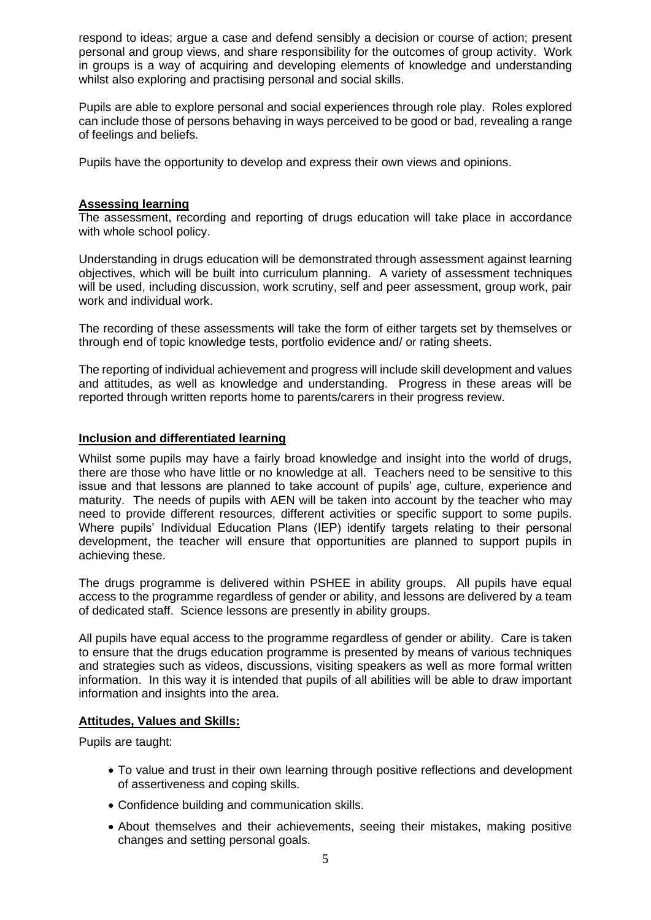respond to ideas; argue a case and defend sensibly a decision or course of action; present personal and group views, and share responsibility for the outcomes of group activity. Work in groups is a way of acquiring and developing elements of knowledge and understanding whilst also exploring and practising personal and social skills.

Pupils are able to explore personal and social experiences through role play. Roles explored can include those of persons behaving in ways perceived to be good or bad, revealing a range of feelings and beliefs.

Pupils have the opportunity to develop and express their own views and opinions.

## **Assessing learning**

The assessment, recording and reporting of drugs education will take place in accordance with whole school policy.

Understanding in drugs education will be demonstrated through assessment against learning objectives, which will be built into curriculum planning. A variety of assessment techniques will be used, including discussion, work scrutiny, self and peer assessment, group work, pair work and individual work.

The recording of these assessments will take the form of either targets set by themselves or through end of topic knowledge tests, portfolio evidence and/ or rating sheets.

The reporting of individual achievement and progress will include skill development and values and attitudes, as well as knowledge and understanding. Progress in these areas will be reported through written reports home to parents/carers in their progress review.

#### **Inclusion and differentiated learning**

Whilst some pupils may have a fairly broad knowledge and insight into the world of drugs, there are those who have little or no knowledge at all. Teachers need to be sensitive to this issue and that lessons are planned to take account of pupils' age, culture, experience and maturity. The needs of pupils with AEN will be taken into account by the teacher who may need to provide different resources, different activities or specific support to some pupils. Where pupils' Individual Education Plans (IEP) identify targets relating to their personal development, the teacher will ensure that opportunities are planned to support pupils in achieving these.

The drugs programme is delivered within PSHEE in ability groups. All pupils have equal access to the programme regardless of gender or ability, and lessons are delivered by a team of dedicated staff. Science lessons are presently in ability groups.

All pupils have equal access to the programme regardless of gender or ability. Care is taken to ensure that the drugs education programme is presented by means of various techniques and strategies such as videos, discussions, visiting speakers as well as more formal written information. In this way it is intended that pupils of all abilities will be able to draw important information and insights into the area.

#### **Attitudes, Values and Skills:**

Pupils are taught:

- To value and trust in their own learning through positive reflections and development of assertiveness and coping skills.
- Confidence building and communication skills.
- About themselves and their achievements, seeing their mistakes, making positive changes and setting personal goals.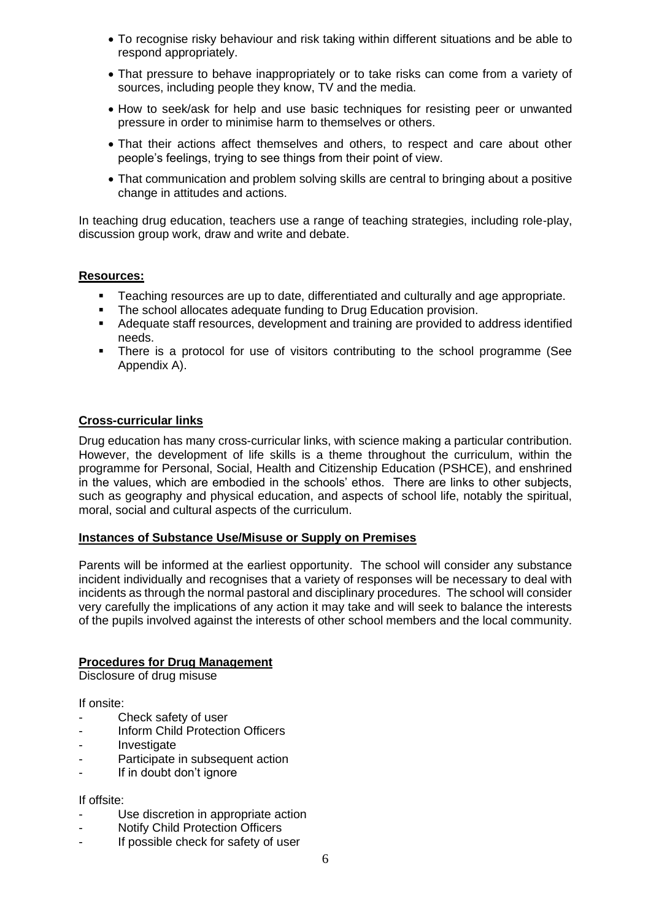- To recognise risky behaviour and risk taking within different situations and be able to respond appropriately.
- That pressure to behave inappropriately or to take risks can come from a variety of sources, including people they know, TV and the media.
- How to seek/ask for help and use basic techniques for resisting peer or unwanted pressure in order to minimise harm to themselves or others.
- That their actions affect themselves and others, to respect and care about other people's feelings, trying to see things from their point of view.
- That communication and problem solving skills are central to bringing about a positive change in attitudes and actions.

In teaching drug education, teachers use a range of teaching strategies, including role-play, discussion group work, draw and write and debate.

## **Resources:**

- Teaching resources are up to date, differentiated and culturally and age appropriate.
- The school allocates adequate funding to Drug Education provision.
- Adequate staff resources, development and training are provided to address identified needs.
- **•** There is a protocol for use of visitors contributing to the school programme (See Appendix A).

#### **Cross-curricular links**

Drug education has many cross-curricular links, with science making a particular contribution. However, the development of life skills is a theme throughout the curriculum, within the programme for Personal, Social, Health and Citizenship Education (PSHCE), and enshrined in the values, which are embodied in the schools' ethos. There are links to other subjects, such as geography and physical education, and aspects of school life, notably the spiritual, moral, social and cultural aspects of the curriculum.

#### **Instances of Substance Use/Misuse or Supply on Premises**

Parents will be informed at the earliest opportunity. The school will consider any substance incident individually and recognises that a variety of responses will be necessary to deal with incidents as through the normal pastoral and disciplinary procedures. The school will consider very carefully the implications of any action it may take and will seek to balance the interests of the pupils involved against the interests of other school members and the local community.

#### **Procedures for Drug Management**

Disclosure of drug misuse

If onsite:

- Check safety of user
- Inform Child Protection Officers
- **Investigate**
- Participate in subsequent action
- If in doubt don't ignore

#### If offsite:

- Use discretion in appropriate action
- Notify Child Protection Officers
- If possible check for safety of user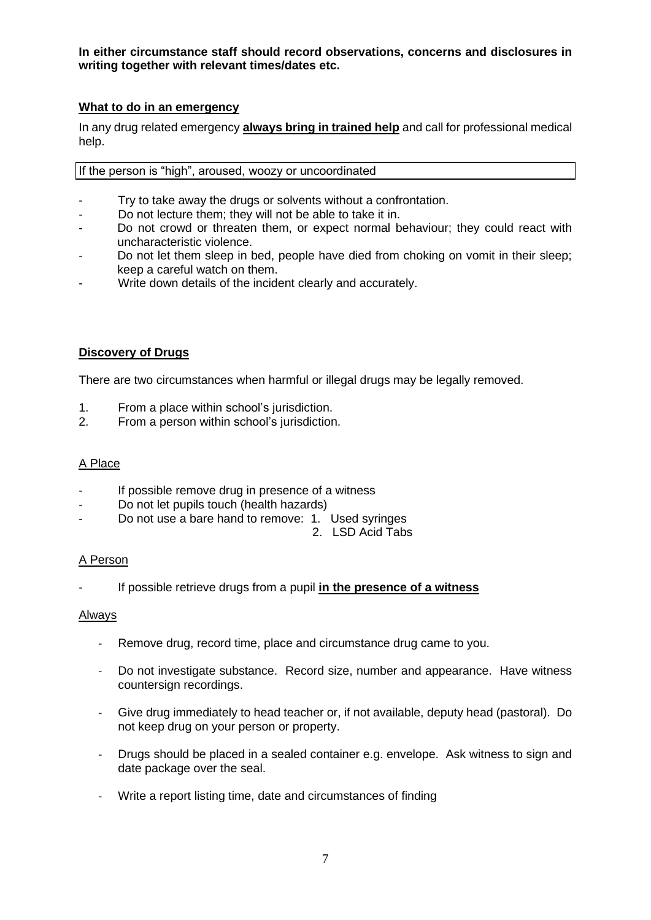**In either circumstance staff should record observations, concerns and disclosures in writing together with relevant times/dates etc.**

## **What to do in an emergency**

In any drug related emergency **always bring in trained help** and call for professional medical help.

If the person is "high", aroused, woozy or uncoordinated

- Try to take away the drugs or solvents without a confrontation.
- Do not lecture them; they will not be able to take it in.
- Do not crowd or threaten them, or expect normal behaviour; they could react with uncharacteristic violence.
- Do not let them sleep in bed, people have died from choking on vomit in their sleep; keep a careful watch on them.
- Write down details of the incident clearly and accurately.

## **Discovery of Drugs**

There are two circumstances when harmful or illegal drugs may be legally removed.

- 1. From a place within school's jurisdiction.
- 2. From a person within school's jurisdiction.

#### A Place

- If possible remove drug in presence of a witness
- Do not let pupils touch (health hazards)
- Do not use a bare hand to remove: 1. Used syringes
	- 2. LSD Acid Tabs

#### A Person

- If possible retrieve drugs from a pupil **in the presence of a witness**

#### Always

- Remove drug, record time, place and circumstance drug came to you.
- Do not investigate substance. Record size, number and appearance. Have witness countersign recordings.
- Give drug immediately to head teacher or, if not available, deputy head (pastoral). Do not keep drug on your person or property.
- Drugs should be placed in a sealed container e.g. envelope. Ask witness to sign and date package over the seal.
- Write a report listing time, date and circumstances of finding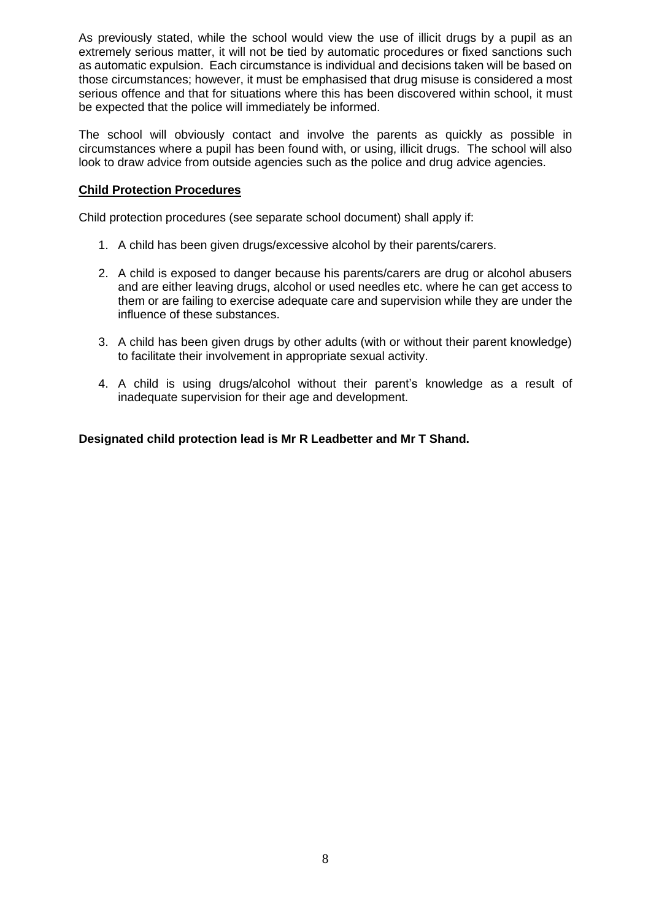As previously stated, while the school would view the use of illicit drugs by a pupil as an extremely serious matter, it will not be tied by automatic procedures or fixed sanctions such as automatic expulsion. Each circumstance is individual and decisions taken will be based on those circumstances; however, it must be emphasised that drug misuse is considered a most serious offence and that for situations where this has been discovered within school, it must be expected that the police will immediately be informed.

The school will obviously contact and involve the parents as quickly as possible in circumstances where a pupil has been found with, or using, illicit drugs. The school will also look to draw advice from outside agencies such as the police and drug advice agencies.

## **Child Protection Procedures**

Child protection procedures (see separate school document) shall apply if:

- 1. A child has been given drugs/excessive alcohol by their parents/carers.
- 2. A child is exposed to danger because his parents/carers are drug or alcohol abusers and are either leaving drugs, alcohol or used needles etc. where he can get access to them or are failing to exercise adequate care and supervision while they are under the influence of these substances.
- 3. A child has been given drugs by other adults (with or without their parent knowledge) to facilitate their involvement in appropriate sexual activity.
- 4. A child is using drugs/alcohol without their parent's knowledge as a result of inadequate supervision for their age and development.

## **Designated child protection lead is Mr R Leadbetter and Mr T Shand.**